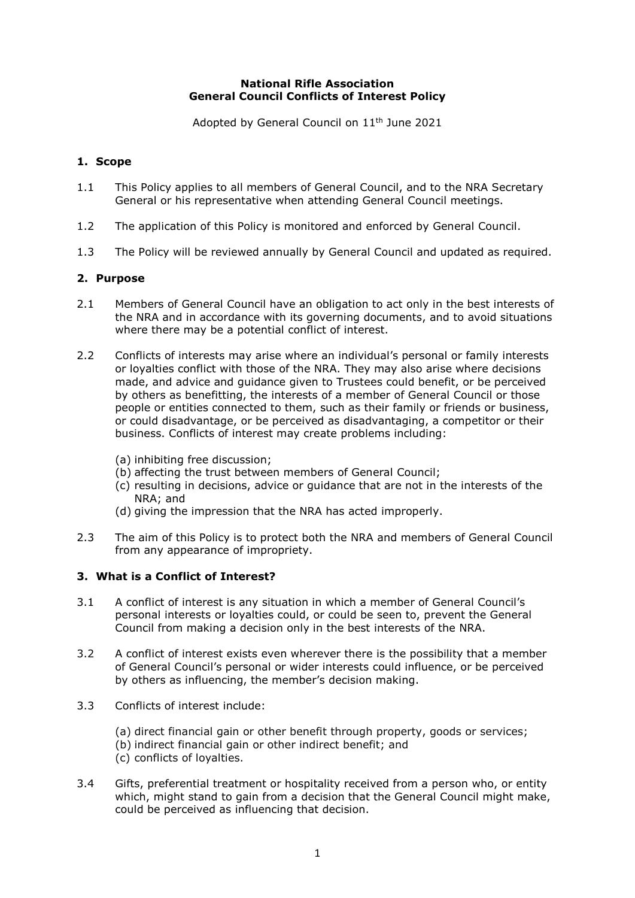## **National Rifle Association General Council Conflicts of Interest Policy**

Adopted by General Council on 11<sup>th</sup> June 2021

## **1. Scope**

- 1.1 This Policy applies to all members of General Council, and to the NRA Secretary General or his representative when attending General Council meetings.
- 1.2 The application of this Policy is monitored and enforced by General Council.
- 1.3 The Policy will be reviewed annually by General Council and updated as required.

## **2. Purpose**

- 2.1 Members of General Council have an obligation to act only in the best interests of the NRA and in accordance with its governing documents, and to avoid situations where there may be a potential conflict of interest.
- 2.2 Conflicts of interests may arise where an individual's personal or family interests or loyalties conflict with those of the NRA. They may also arise where decisions made, and advice and guidance given to Trustees could benefit, or be perceived by others as benefitting, the interests of a member of General Council or those people or entities connected to them, such as their family or friends or business, or could disadvantage, or be perceived as disadvantaging, a competitor or their business. Conflicts of interest may create problems including:
	- (a) inhibiting free discussion;
	- (b) affecting the trust between members of General Council;
	- (c) resulting in decisions, advice or guidance that are not in the interests of the NRA; and
	- (d) giving the impression that the NRA has acted improperly.
- 2.3 The aim of this Policy is to protect both the NRA and members of General Council from any appearance of impropriety.

#### **3. What is a Conflict of Interest?**

- 3.1 A conflict of interest is any situation in which a member of General Council's personal interests or loyalties could, or could be seen to, prevent the General Council from making a decision only in the best interests of the NRA.
- 3.2 A conflict of interest exists even wherever there is the possibility that a member of General Council's personal or wider interests could influence, or be perceived by others as influencing, the member's decision making.
- 3.3 Conflicts of interest include:
	- (a) direct financial gain or other benefit through property, goods or services;
	- (b) indirect financial gain or other indirect benefit; and
	- (c) conflicts of loyalties.
- 3.4 Gifts, preferential treatment or hospitality received from a person who, or entity which, might stand to gain from a decision that the General Council might make, could be perceived as influencing that decision.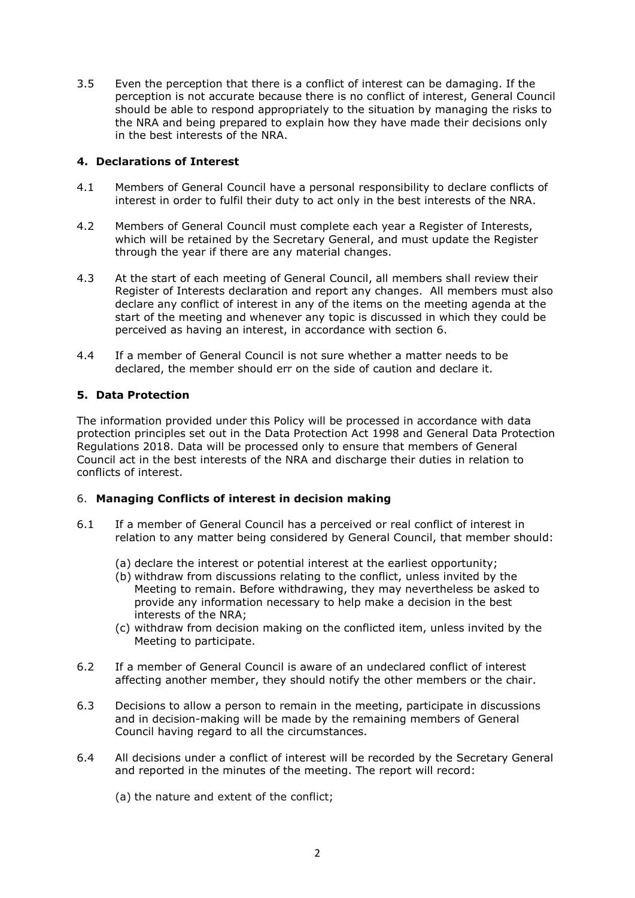3.5 Even the perception that there is a conflict of interest can be damaging. If the perception is not accurate because there is no conflict of interest, General Council should be able to respond appropriately to the situation by managing the risks to the NRA and being prepared to explain how they have made their decisions only in the best interests of the NRA.

## **4. Declarations of Interest**

- 4.1 Members of General Council have a personal responsibility to declare conflicts of interest in order to fulfil their duty to act only in the best interests of the NRA.
- 4.2 Members of General Council must complete each year a Register of Interests, which will be retained by the Secretary General, and must update the Register through the year if there are any material changes.
- 4.3 At the start of each meeting of General Council, all members shall review their Register of Interests declaration and report any changes. All members must also declare any conflict of interest in any of the items on the meeting agenda at the start of the meeting and whenever any topic is discussed in which they could be perceived as having an interest, in accordance with section 6.
- 4.4 If a member of General Council is not sure whether a matter needs to be declared, the member should err on the side of caution and declare it.

# **5. Data Protection**

The information provided under this Policy will be processed in accordance with data protection principles set out in the Data Protection Act 1998 and General Data Protection Regulations 2018. Data will be processed only to ensure that members of General Council act in the best interests of the NRA and discharge their duties in relation to conflicts of interest.

## 6. **Managing Conflicts of interest in decision making**

- 6.1 If a member of General Council has a perceived or real conflict of interest in relation to any matter being considered by General Council, that member should:
	- (a) declare the interest or potential interest at the earliest opportunity;
	- (b) withdraw from discussions relating to the conflict, unless invited by the Meeting to remain. Before withdrawing, they may nevertheless be asked to provide any information necessary to help make a decision in the best interests of the NRA;
	- (c) withdraw from decision making on the conflicted item, unless invited by the Meeting to participate.
- 6.2 If a member of General Council is aware of an undeclared conflict of interest affecting another member, they should notify the other members or the chair.
- 6.3 Decisions to allow a person to remain in the meeting, participate in discussions and in decision-making will be made by the remaining members of General Council having regard to all the circumstances.
- 6.4 All decisions under a conflict of interest will be recorded by the Secretary General and reported in the minutes of the meeting. The report will record:
	- (a) the nature and extent of the conflict;